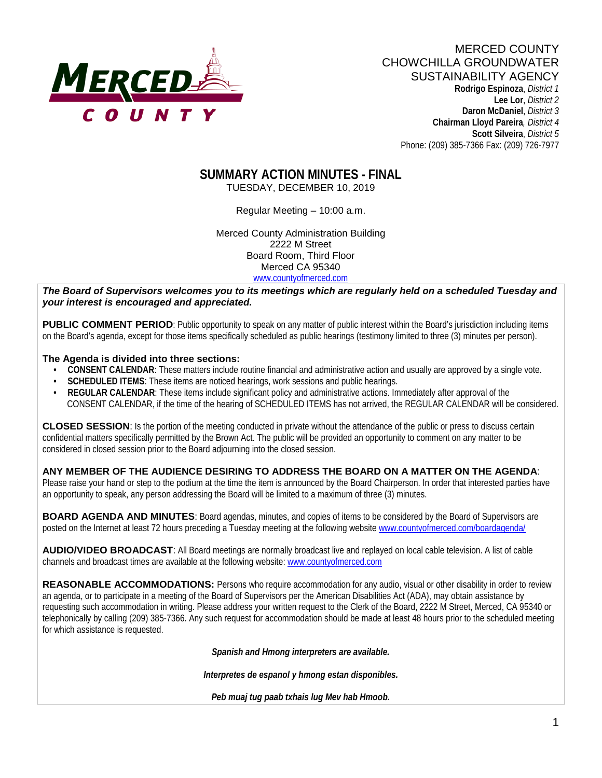

# MERCED COUNTY CHOWCHILLA GROUNDWATER SUSTAINABILITY AGENCY

 **Rodrigo Espinoza**, *District 1*  **Lee Lor**, *District 2*  **Daron McDaniel**, *District 3* **Chairman Lloyd Pareira***, District 4*  **Scott Silveira**, *District 5* Phone: (209) 385-7366 Fax: (209) 726-7977

# **SUMMARY ACTION MINUTES - FINAL**

TUESDAY, DECEMBER 10, 2019

Regular Meeting – 10:00 a.m.

Merced County Administration Building 2222 M Street Board Room, Third Floor Merced CA 95340 www.countyofmerced.com

*The Board of Supervisors welcomes you to its meetings which are regularly held on a scheduled Tuesday and your interest is encouraged and appreciated.*

**PUBLIC COMMENT PERIOD**: Public opportunity to speak on any matter of public interest within the Board's jurisdiction including items on the Board's agenda, except for those items specifically scheduled as public hearings (testimony limited to three (3) minutes per person).

#### **The Agenda is divided into three sections:**

- **CONSENT CALENDAR**: These matters include routine financial and administrative action and usually are approved by a single vote.
- **SCHEDULED ITEMS:** These items are noticed hearings, work sessions and public hearings.
- **REGULAR CALENDAR**: These items include significant policy and administrative actions. Immediately after approval of the CONSENT CALENDAR, if the time of the hearing of SCHEDULED ITEMS has not arrived, the REGULAR CALENDAR will be considered.

**CLOSED SESSION**: Is the portion of the meeting conducted in private without the attendance of the public or press to discuss certain confidential matters specifically permitted by the Brown Act. The public will be provided an opportunity to comment on any matter to be considered in closed session prior to the Board adjourning into the closed session.

**ANY MEMBER OF THE AUDIENCE DESIRING TO ADDRESS THE BOARD ON A MATTER ON THE AGENDA**: Please raise your hand or step to the podium at the time the item is announced by the Board Chairperson. In order that interested parties have an opportunity to speak, any person addressing the Board will be limited to a maximum of three (3) minutes.

**BOARD AGENDA AND MINUTES:** Board agendas, minutes, and copies of items to be considered by the Board of Supervisors are posted on the Internet at least 72 hours preceding a Tuesday meeting at the following website [www.countyofmerced.com/boardagenda/](http://www.countyofmerced.com/boardagenda/) 

**AUDIO/VIDEO BROADCAST**: All Board meetings are normally broadcast live and replayed on local cable television. A list of cable channels and broadcast times are available at the following website[: www.countyofmerced.com](http://www.countyofmerced.com/)

**REASONABLE ACCOMMODATIONS:** Persons who require accommodation for any audio, visual or other disability in order to review an agenda, or to participate in a meeting of the Board of Supervisors per the American Disabilities Act (ADA), may obtain assistance by requesting such accommodation in writing. Please address your written request to the Clerk of the Board, 2222 M Street, Merced, CA 95340 or telephonically by calling (209) 385-7366. Any such request for accommodation should be made at least 48 hours prior to the scheduled meeting for which assistance is requested.

*Spanish and Hmong interpreters are available.*

*Interpretes de espanol y hmong estan disponibles.*

*Peb muaj tug paab txhais lug Mev hab Hmoob.*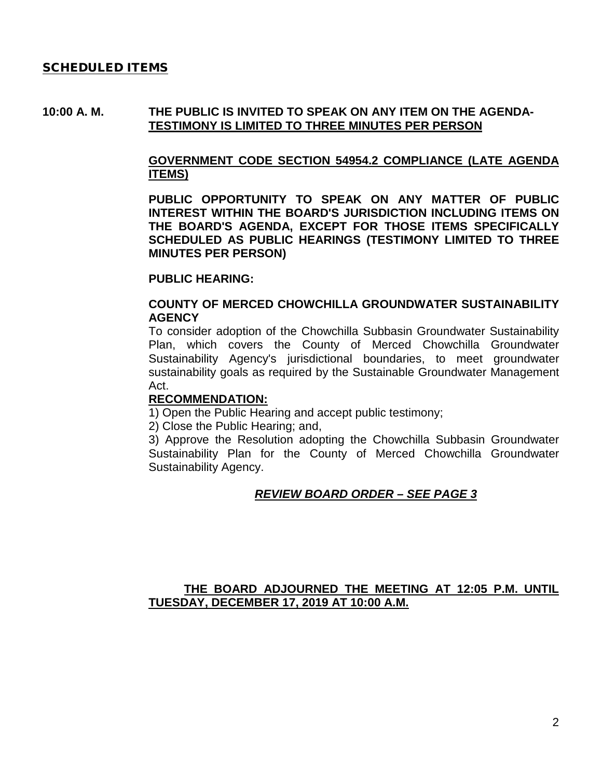#### SCHEDULED ITEMS

#### **10:00 A. M. THE PUBLIC IS INVITED TO SPEAK ON ANY ITEM ON THE AGENDA-TESTIMONY IS LIMITED TO THREE MINUTES PER PERSON**

# **GOVERNMENT CODE SECTION 54954.2 COMPLIANCE (LATE AGENDA ITEMS)**

**PUBLIC OPPORTUNITY TO SPEAK ON ANY MATTER OF PUBLIC INTEREST WITHIN THE BOARD'S JURISDICTION INCLUDING ITEMS ON THE BOARD'S AGENDA, EXCEPT FOR THOSE ITEMS SPECIFICALLY SCHEDULED AS PUBLIC HEARINGS (TESTIMONY LIMITED TO THREE MINUTES PER PERSON)**

#### **PUBLIC HEARING:**

#### **COUNTY OF MERCED CHOWCHILLA GROUNDWATER SUSTAINABILITY AGENCY**

To consider adoption of the Chowchilla Subbasin Groundwater Sustainability Plan, which covers the County of Merced Chowchilla Groundwater Sustainability Agency's jurisdictional boundaries, to meet groundwater sustainability goals as required by the Sustainable Groundwater Management Act.

#### **RECOMMENDATION:**

1) Open the Public Hearing and accept public testimony;

2) Close the Public Hearing; and,

3) Approve the Resolution adopting the Chowchilla Subbasin Groundwater Sustainability Plan for the County of Merced Chowchilla Groundwater Sustainability Agency.

# *REVIEW BOARD ORDER – SEE PAGE 3*

# **THE BOARD ADJOURNED THE MEETING AT 12:05 P.M. UNTIL TUESDAY, DECEMBER 17, 2019 AT 10:00 A.M.**